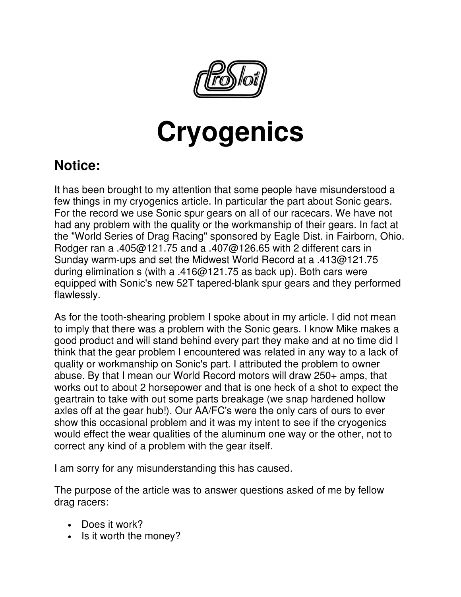

## **Cryogenics**

## **Notice:**

It has been brought to my attention that some people have misunderstood a few things in my cryogenics article. In particular the part about Sonic gears. For the record we use Sonic spur gears on all of our racecars. We have not had any problem with the quality or the workmanship of their gears. In fact at the "World Series of Drag Racing" sponsored by Eagle Dist. in Fairborn, Ohio. Rodger ran a .405@121.75 and a .407@126.65 with 2 different cars in Sunday warm-ups and set the Midwest World Record at a .413@121.75 during elimination s (with a .416@121.75 as back up). Both cars were equipped with Sonic's new 52T tapered-blank spur gears and they performed flawlessly.

As for the tooth-shearing problem I spoke about in my article. I did not mean to imply that there was a problem with the Sonic gears. I know Mike makes a good product and will stand behind every part they make and at no time did I think that the gear problem I encountered was related in any way to a lack of quality or workmanship on Sonic's part. I attributed the problem to owner abuse. By that I mean our World Record motors will draw 250+ amps, that works out to about 2 horsepower and that is one heck of a shot to expect the geartrain to take with out some parts breakage (we snap hardened hollow axles off at the gear hub!). Our AA/FC's were the only cars of ours to ever show this occasional problem and it was my intent to see if the cryogenics would effect the wear qualities of the aluminum one way or the other, not to correct any kind of a problem with the gear itself.

I am sorry for any misunderstanding this has caused.

The purpose of the article was to answer questions asked of me by fellow drag racers:

- Does it work?
- Is it worth the money?